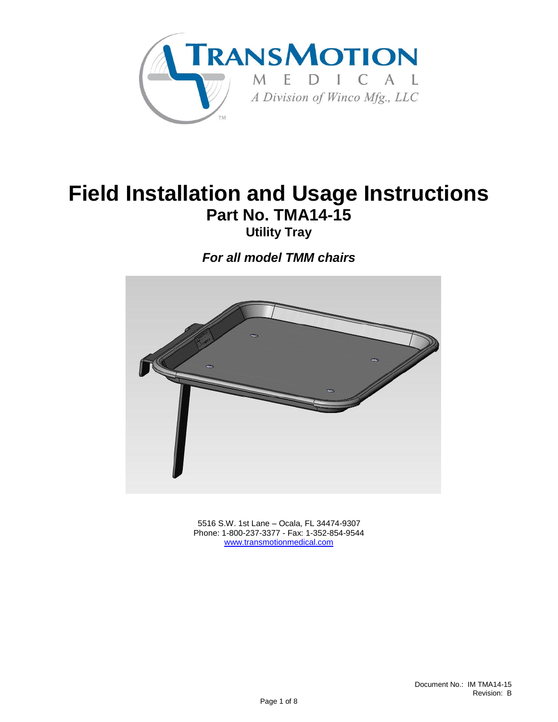

# **Field Installation and Usage Instructions Part No. TMA14-15**

**Utility Tray**

*For all model TMM chairs*



 5516 S.W. 1st Lane – Ocala, FL 34474-9307 Phone: 1-800-237-3377 - Fax: 1-352-854-9544 [www.transmotionmedical.com](http://www.transmotionmedical.com/)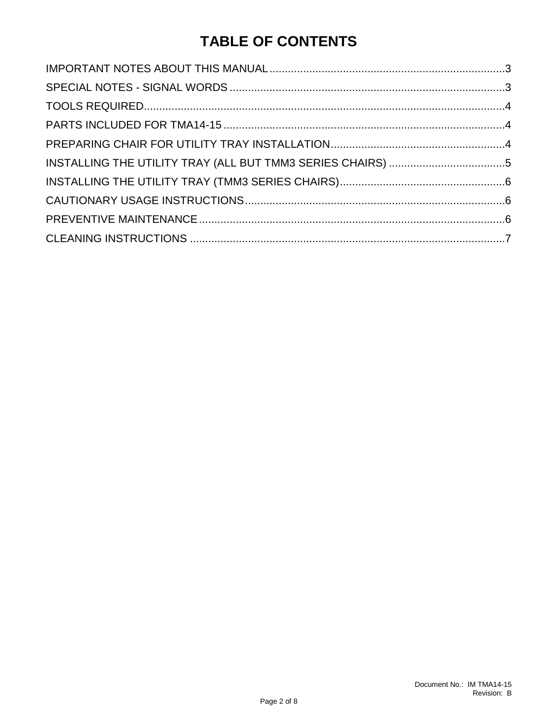## **TABLE OF CONTENTS**

| INSTALLING THE UTILITY TRAY (ALL BUT TMM3 SERIES CHAIRS) 5 |
|------------------------------------------------------------|
|                                                            |
|                                                            |
|                                                            |
|                                                            |
|                                                            |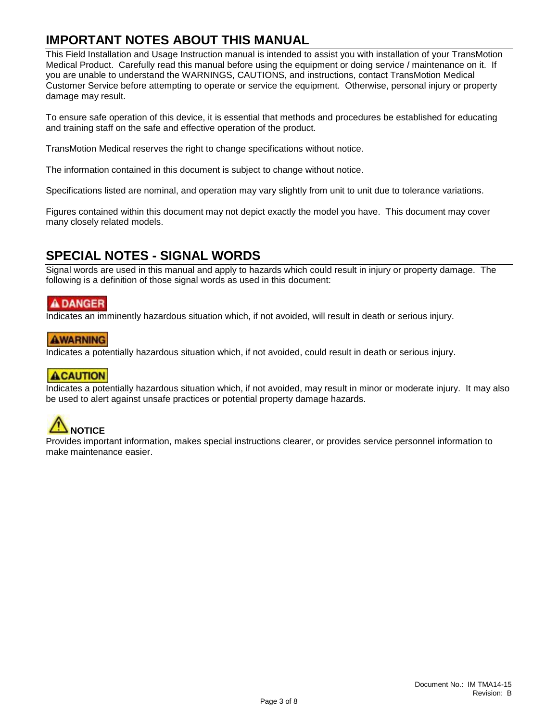## <span id="page-2-0"></span>**IMPORTANT NOTES ABOUT THIS MANUAL**

This Field Installation and Usage Instruction manual is intended to assist you with installation of your TransMotion Medical Product. Carefully read this manual before using the equipment or doing service / maintenance on it. If you are unable to understand the WARNINGS, CAUTIONS, and instructions, contact TransMotion Medical Customer Service before attempting to operate or service the equipment. Otherwise, personal injury or property damage may result.

To ensure safe operation of this device, it is essential that methods and procedures be established for educating and training staff on the safe and effective operation of the product.

TransMotion Medical reserves the right to change specifications without notice.

The information contained in this document is subject to change without notice.

Specifications listed are nominal, and operation may vary slightly from unit to unit due to tolerance variations.

Figures contained within this document may not depict exactly the model you have. This document may cover many closely related models.

## <span id="page-2-1"></span>**SPECIAL NOTES - SIGNAL WORDS**

Signal words are used in this manual and apply to hazards which could result in injury or property damage. The following is a definition of those signal words as used in this document:

#### **A DANGER**

Indicates an imminently hazardous situation which, if not avoided, will result in death or serious injury.

#### **AWARNING**

Indicates a potentially hazardous situation which, if not avoided, could result in death or serious injury.

#### **ACAUTION**

Indicates a potentially hazardous situation which, if not avoided, may result in minor or moderate injury. It may also be used to alert against unsafe practices or potential property damage hazards.

# **NOTICE**

Provides important information, makes special instructions clearer, or provides service personnel information to make maintenance easier.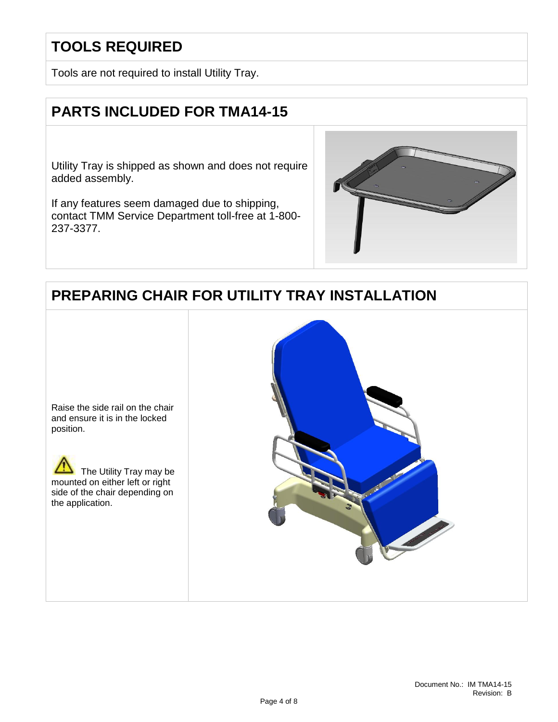## <span id="page-3-0"></span>**TOOLS REQUIRED**

Tools are not required to install Utility Tray.

## <span id="page-3-1"></span>**PARTS INCLUDED FOR TMA14-15**

Utility Tray is shipped as shown and does not require added assembly.

If any features seem damaged due to shipping, contact TMM Service Department toll-free at 1-800- 237-3377.



## <span id="page-3-2"></span>**PREPARING CHAIR FOR UTILITY TRAY INSTALLATION**



 The Utility Tray may be mounted on either left or right side of the chair depending on the application.

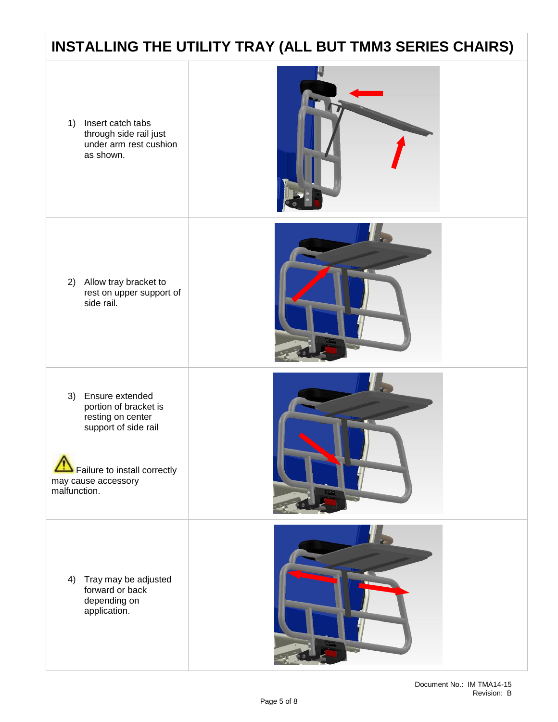## <span id="page-4-0"></span>**INSTALLING THE UTILITY TRAY (ALL BUT TMM3 SERIES CHAIRS)**

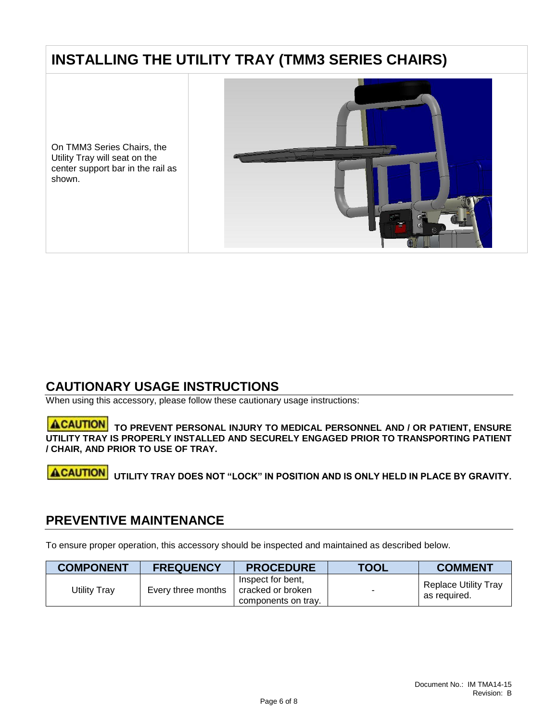## <span id="page-5-0"></span>**INSTALLING THE UTILITY TRAY (TMM3 SERIES CHAIRS)**

On TMM3 Series Chairs, the Utility Tray will seat on the center support bar in the rail as shown.



## <span id="page-5-1"></span>**CAUTIONARY USAGE INSTRUCTIONS**

When using this accessory, please follow these cautionary usage instructions:

#### **TO PREVENT PERSONAL INJURY TO MEDICAL PERSONNEL AND / OR PATIENT, ENSURE UTILITY TRAY IS PROPERLY INSTALLED AND SECURELY ENGAGED PRIOR TO TRANSPORTING PATIENT / CHAIR, AND PRIOR TO USE OF TRAY.**

#### **ACAUTION UTILITY TRAY DOES NOT "LOCK" IN POSITION AND IS ONLY HELD IN PLACE BY GRAVITY.**

#### <span id="page-5-2"></span>**PREVENTIVE MAINTENANCE**

To ensure proper operation, this accessory should be inspected and maintained as described below.

| <b>COMPONENT</b> | <b>FREQUENCY</b>   | <b>PROCEDURE</b>                                              | <b>TOOL</b> | <b>COMMENT</b>                       |
|------------------|--------------------|---------------------------------------------------------------|-------------|--------------------------------------|
| Utility Tray     | Every three months | Inspect for bent.<br>cracked or broken<br>components on tray. | ۰           | Replace Utility Tray<br>as required. |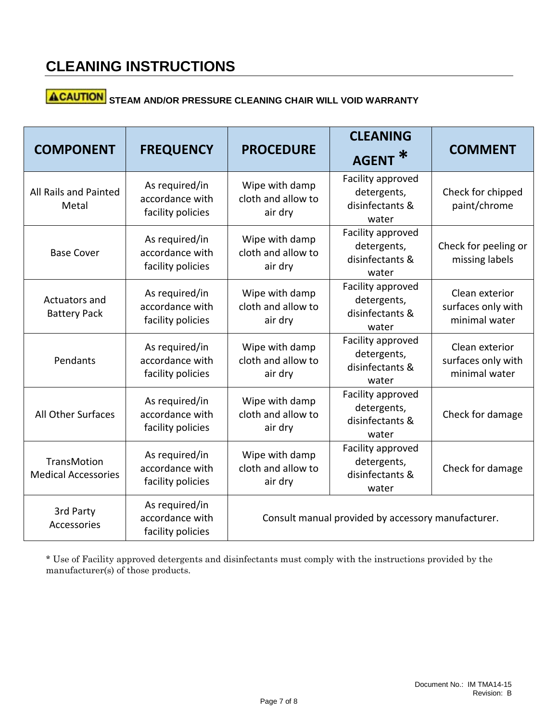# **ACAUTION** STEAM AND/OR PRESSURE CLEANING CHAIR WILL VOID WARRANTY

| <b>COMPONENT</b>                                 | <b>FREQUENCY</b>                                       | <b>PROCEDURE</b>                                   | <b>CLEANING</b><br>∗<br><b>AGENT</b>                         | <b>COMMENT</b>                                        |  |
|--------------------------------------------------|--------------------------------------------------------|----------------------------------------------------|--------------------------------------------------------------|-------------------------------------------------------|--|
| All Rails and Painted<br>Metal                   | As required/in<br>accordance with<br>facility policies | Wipe with damp<br>cloth and allow to<br>air dry    | Facility approved<br>detergents,<br>disinfectants &<br>water | Check for chipped<br>paint/chrome                     |  |
| <b>Base Cover</b>                                | As required/in<br>accordance with<br>facility policies | Wipe with damp<br>cloth and allow to<br>air dry    | Facility approved<br>detergents,<br>disinfectants &<br>water | Check for peeling or<br>missing labels                |  |
| Actuators and<br><b>Battery Pack</b>             | As required/in<br>accordance with<br>facility policies | Wipe with damp<br>cloth and allow to<br>air dry    | Facility approved<br>detergents,<br>disinfectants &<br>water | Clean exterior<br>surfaces only with<br>minimal water |  |
| Pendants                                         | As required/in<br>accordance with<br>facility policies | Wipe with damp<br>cloth and allow to<br>air dry    | Facility approved<br>detergents,<br>disinfectants &<br>water | Clean exterior<br>surfaces only with<br>minimal water |  |
| All Other Surfaces                               | As required/in<br>accordance with<br>facility policies | Wipe with damp<br>cloth and allow to<br>air dry    | Facility approved<br>detergents,<br>disinfectants &<br>water | Check for damage                                      |  |
| <b>TransMotion</b><br><b>Medical Accessories</b> | As required/in<br>accordance with<br>facility policies | Wipe with damp<br>cloth and allow to<br>air dry    | Facility approved<br>detergents,<br>disinfectants &<br>water | Check for damage                                      |  |
| 3rd Party<br>Accessories                         | As required/in<br>accordance with<br>facility policies | Consult manual provided by accessory manufacturer. |                                                              |                                                       |  |

\* Use of Facility approved detergents and disinfectants must comply with the instructions provided by the manufacturer(s) of those products.